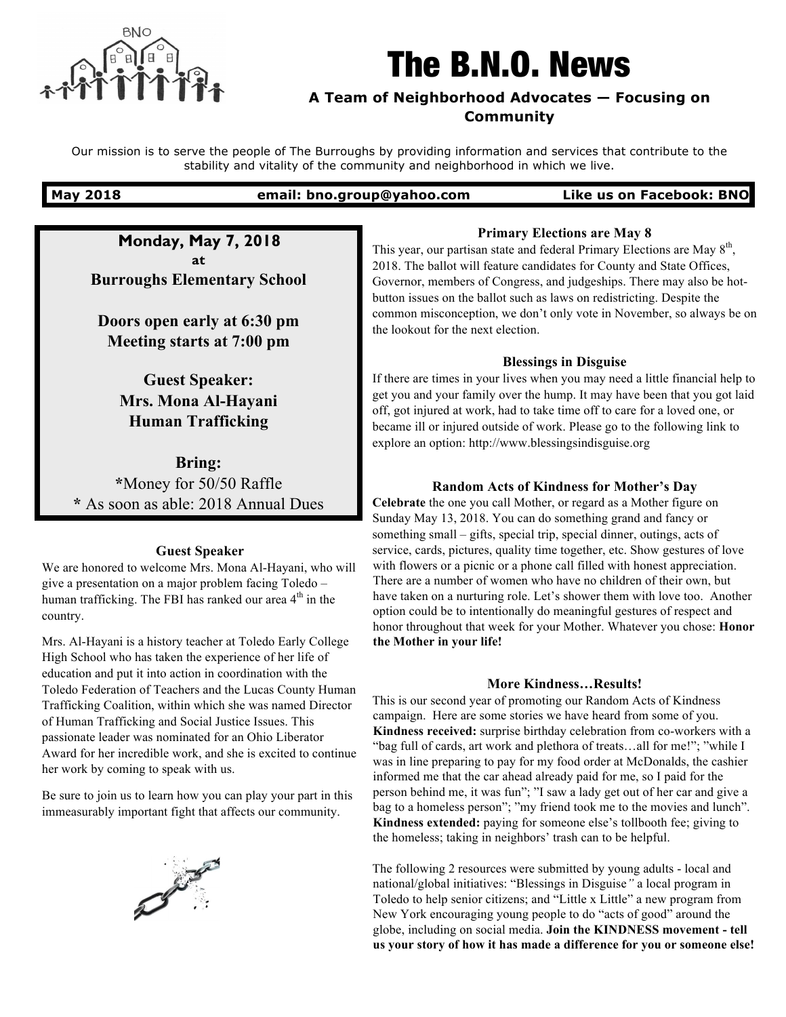

# The B.N.O. News

# **A Team of Neighborhood Advocates — Focusing on Community**

Our mission is to serve the people of The Burroughs by providing information and services that contribute to the stability and vitality of the community and neighborhood in which we live.

**May 2018 email: bno.group@yahoo.com Like us on Facebook: BNO**

**Monday, May 7, 2018 at Burroughs Elementary School**

**Doors open early at 6:30 pm Meeting starts at 7:00 pm**

> **Guest Speaker: Mrs. Mona Al-Hayani Human Trafficking**

**Bring: \***Money for 50/50 Raffle **\*** As soon as able: 2018 Annual Dues

## **Guest Speaker**

We are honored to welcome Mrs. Mona Al-Hayani, who will give a presentation on a major problem facing Toledo – human trafficking. The FBI has ranked our area  $4<sup>th</sup>$  in the country.

Mrs. Al-Hayani is a history teacher at Toledo Early College High School who has taken the experience of her life of education and put it into action in coordination with the Toledo Federation of Teachers and the Lucas County Human Trafficking Coalition, within which she was named Director of Human Trafficking and Social Justice Issues. This passionate leader was nominated for an Ohio Liberator Award for her incredible work, and she is excited to continue her work by coming to speak with us.

Be sure to join us to learn how you can play your part in this immeasurably important fight that affects our community.



# **Primary Elections are May 8**

This year, our partisan state and federal Primary Elections are May  $8<sup>th</sup>$ , 2018. The ballot will feature candidates for County and State Offices, Governor, members of Congress, and judgeships. There may also be hotbutton issues on the ballot such as laws on redistricting. Despite the common misconception, we don't only vote in November, so always be on the lookout for the next election.

## **Blessings in Disguise**

If there are times in your lives when you may need a little financial help to get you and your family over the hump. It may have been that you got laid off, got injured at work, had to take time off to care for a loved one, or became ill or injured outside of work. Please go to the following link to explore an option: http://www.blessingsindisguise.org

# **Random Acts of Kindness for Mother's Day**

**Celebrate** the one you call Mother, or regard as a Mother figure on Sunday May 13, 2018. You can do something grand and fancy or something small – gifts, special trip, special dinner, outings, acts of service, cards, pictures, quality time together, etc. Show gestures of love with flowers or a picnic or a phone call filled with honest appreciation. There are a number of women who have no children of their own, but have taken on a nurturing role. Let's shower them with love too. Another option could be to intentionally do meaningful gestures of respect and honor throughout that week for your Mother. Whatever you chose: **Honor the Mother in your life!**

## **More Kindness…Results!**

This is our second year of promoting our Random Acts of Kindness campaign. Here are some stories we have heard from some of you. **Kindness received:** surprise birthday celebration from co-workers with a "bag full of cards, art work and plethora of treats…all for me!"; "while I was in line preparing to pay for my food order at McDonalds, the cashier informed me that the car ahead already paid for me, so I paid for the person behind me, it was fun"; "I saw a lady get out of her car and give a bag to a homeless person"; "my friend took me to the movies and lunch". **Kindness extended:** paying for someone else's tollbooth fee; giving to the homeless; taking in neighbors' trash can to be helpful.

The following 2 resources were submitted by young adults - local and national/global initiatives: "Blessings in Disguise*"* a local program in Toledo to help senior citizens; and "Little x Little" a new program from New York encouraging young people to do "acts of good" around the globe, including on social media. **Join the KINDNESS movement - tell us your story of how it has made a difference for you or someone else!**